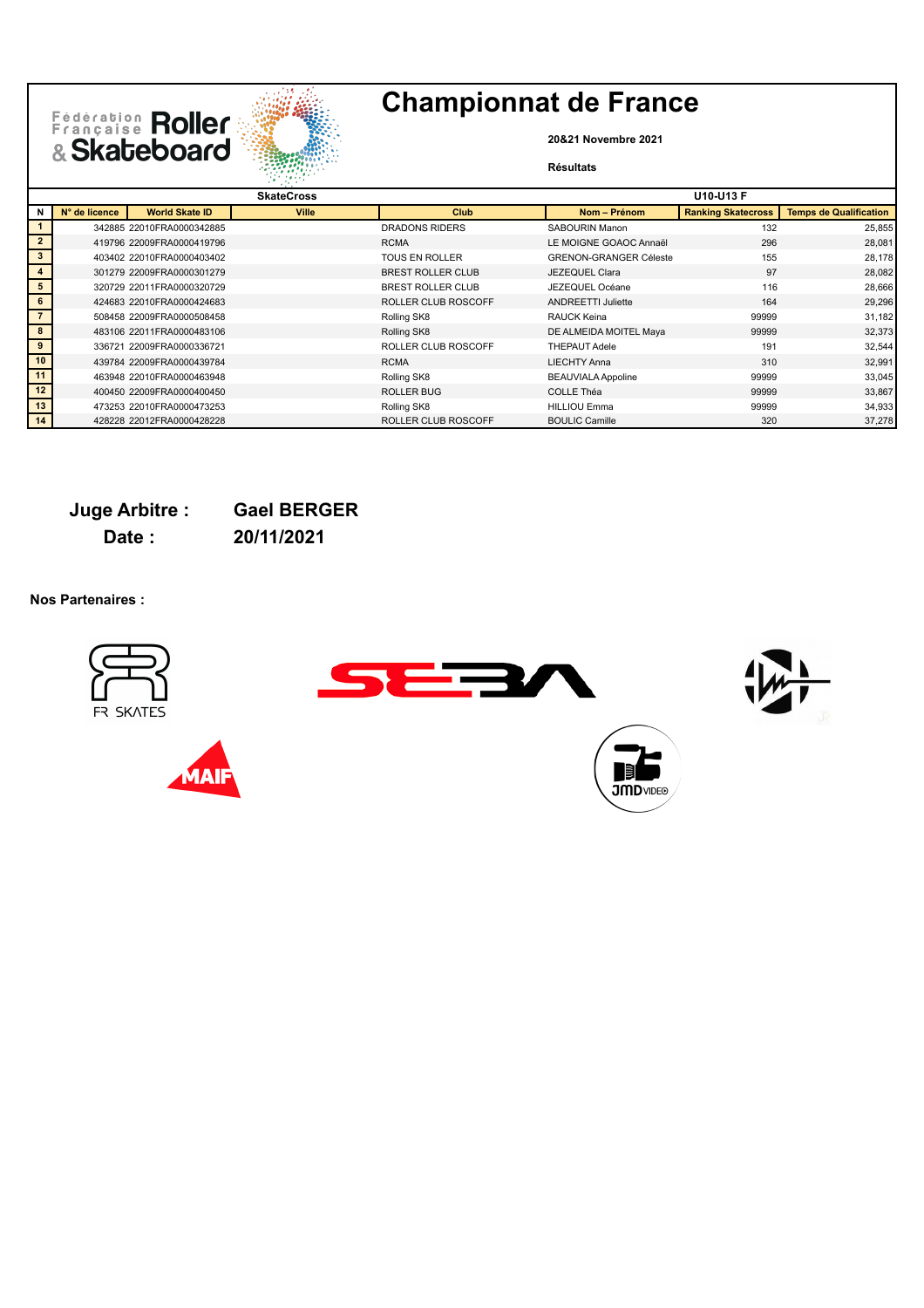

**20&21 Novembre 2021**

### **Résultats**

|                |               |                           | 247.05076         |                            |                               |                           |                               |
|----------------|---------------|---------------------------|-------------------|----------------------------|-------------------------------|---------------------------|-------------------------------|
|                |               |                           | <b>SkateCross</b> |                            |                               | <b>U10-U13 F</b>          |                               |
| N              | N° de licence | <b>World Skate ID</b>     | <b>Ville</b>      | Club                       | Nom - Prénom                  | <b>Ranking Skatecross</b> | <b>Temps de Qualification</b> |
|                |               | 342885 22010FRA0000342885 |                   | <b>DRADONS RIDERS</b>      | SABOURIN Manon                | 132                       | 25,855                        |
| $\overline{2}$ |               | 419796 22009FRA0000419796 |                   | <b>RCMA</b>                | LE MOIGNE GOAOC Annaël        | 296                       | 28,081                        |
| $\mathbf{3}$   |               | 403402 22010FRA0000403402 |                   | <b>TOUS EN ROLLER</b>      | <b>GRENON-GRANGER Céleste</b> | 155                       | 28,178                        |
| $\overline{4}$ |               | 301279 22009FRA0000301279 |                   | BREST ROLLER CLUB          | JEZEQUEL Clara                | 97                        | 28,082                        |
| 5              |               | 320729 22011FRA0000320729 |                   | <b>BREST ROLLER CLUB</b>   | JEZEQUEL Océane               | 116                       | 28,666                        |
| 6              |               | 424683 22010FRA0000424683 |                   | ROLLER CLUB ROSCOFF        | <b>ANDREETTI Juliette</b>     | 164                       | 29,296                        |
|                |               | 508458 22009FRA0000508458 |                   | Rolling SK8                | RAUCK Keina                   | 99999                     | 31,182                        |
| 8              |               | 483106 22011FRA0000483106 |                   | Rolling SK8                | DE ALMEIDA MOITEL Maya        | 99999                     | 32,373                        |
| 9              |               | 336721 22009FRA0000336721 |                   | ROLLER CLUB ROSCOFF        | <b>THEPAUT Adele</b>          | 191                       | 32,544                        |
| 10             |               | 439784 22009FRA0000439784 |                   | <b>RCMA</b>                | <b>LIECHTY Anna</b>           | 310                       | 32,991                        |
| 11             |               | 463948 22010FRA0000463948 |                   | Rolling SK8                | <b>BEAUVIALA Appoline</b>     | 99999                     | 33,045                        |
| 12             |               | 400450 22009FRA0000400450 |                   | <b>ROLLER BUG</b>          | COLLE Théa                    | 99999                     | 33,867                        |
| 13             |               | 473253 22010FRA0000473253 |                   | Rolling SK8                | <b>HILLIOU Emma</b>           | 99999                     | 34,933                        |
| 14             |               | 428228 22012FRA0000428228 |                   | <b>ROLLER CLUB ROSCOFF</b> | <b>BOULIC Camille</b>         | 320                       | 37,278                        |

### **Juge Arbitre : Gael BERGER Date : 20/11/2021**

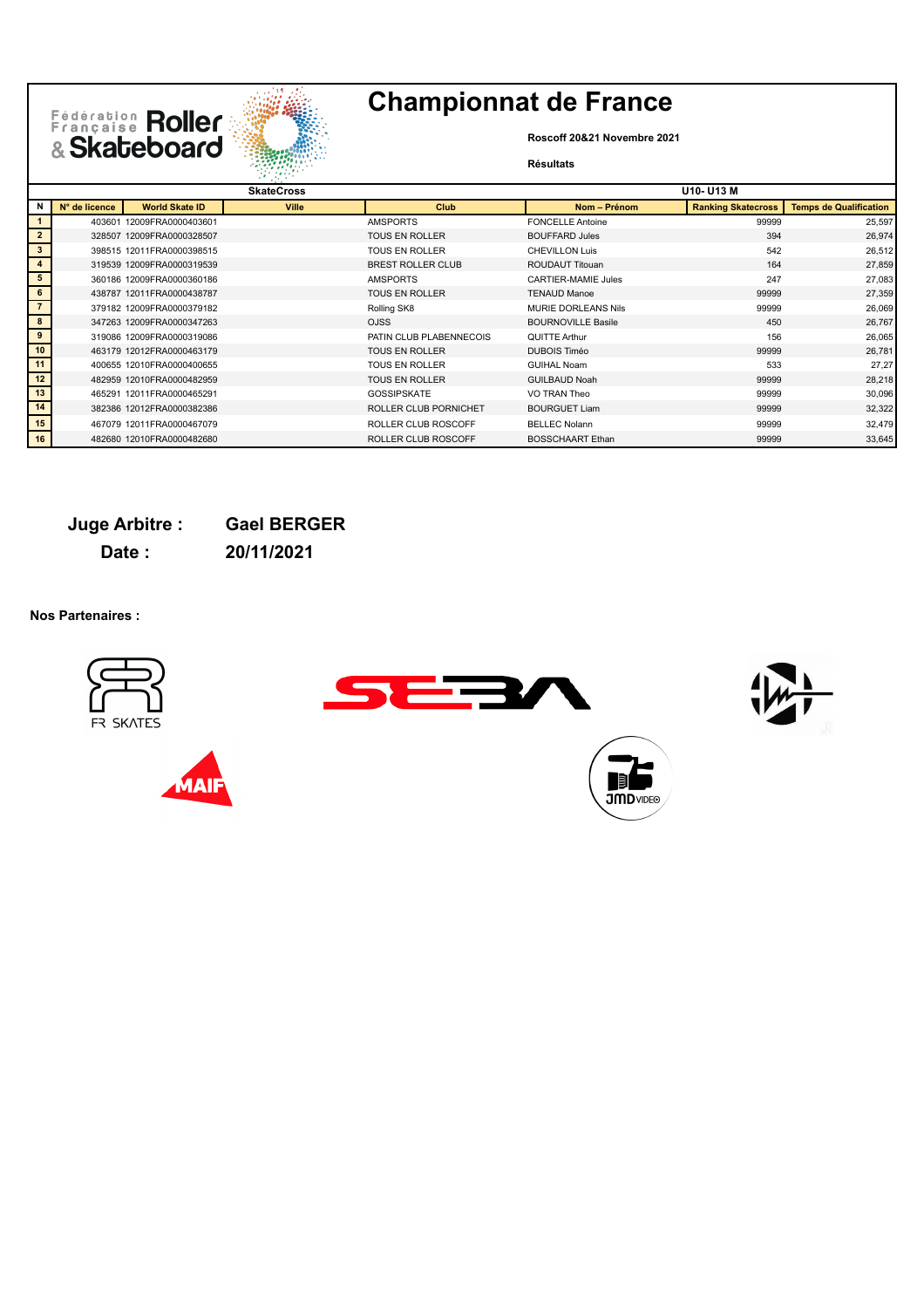

**Roscoff 20&21 Novembre 2021**

### **Résultats**

|                 |               |                           | 24.7<br><b>CALLED</b> |                          |                            |                           |                               |
|-----------------|---------------|---------------------------|-----------------------|--------------------------|----------------------------|---------------------------|-------------------------------|
|                 |               |                           | <b>SkateCross</b>     |                          |                            | U10- U13 M                |                               |
| N               | N° de licence | <b>World Skate ID</b>     | <b>Ville</b>          | <b>Club</b>              | Nom - Prénom               | <b>Ranking Skatecross</b> | <b>Temps de Qualification</b> |
|                 |               | 403601 12009FRA0000403601 |                       | <b>AMSPORTS</b>          | <b>FONCELLE Antoine</b>    | 99999                     | 25,597                        |
| $\overline{2}$  |               | 328507 12009FRA0000328507 |                       | <b>TOUS EN ROLLER</b>    | <b>BOUFFARD Jules</b>      | 394                       | 26,974                        |
| $\mathbf{3}$    |               | 398515 12011FRA0000398515 |                       | <b>TOUS EN ROLLER</b>    | <b>CHEVILLON Luis</b>      | 542                       | 26,512                        |
| $\overline{4}$  |               | 319539 12009FRA0000319539 |                       | <b>BREST ROLLER CLUB</b> | <b>ROUDAUT Titouan</b>     | 164                       | 27,859                        |
| 5               |               | 360186 12009FRA0000360186 |                       | <b>AMSPORTS</b>          | <b>CARTIER-MAMIE Jules</b> | 247                       | 27,083                        |
| $6\phantom{.}6$ |               | 438787 12011FRA0000438787 |                       | <b>TOUS EN ROLLER</b>    | <b>TENAUD Manoe</b>        | 99999                     | 27,359                        |
|                 |               | 379182 12009FRA0000379182 |                       | Rolling SK8              | <b>MURIE DORLEANS Nils</b> | 99999                     | 26,069                        |
| 8               |               | 347263 12009FRA0000347263 |                       | <b>OJSS</b>              | <b>BOURNOVILLE Basile</b>  | 450                       | 26,767                        |
| 9               |               | 319086 12009FRA0000319086 |                       | PATIN CLUB PLABENNECOIS  | QUITTE Arthur              | 156                       | 26,065                        |
| 10              |               | 463179 12012FRA0000463179 |                       | <b>TOUS EN ROLLER</b>    | <b>DUBOIS Timéo</b>        | 99999                     | 26,781                        |
| 11              |               | 400655 12010FRA0000400655 |                       | <b>TOUS EN ROLLER</b>    | <b>GUIHAL Noam</b>         | 533                       | 27,27                         |
| 12              |               | 482959 12010FRA0000482959 |                       | <b>TOUS EN ROLLER</b>    | <b>GUILBAUD Noah</b>       | 99999                     | 28,218                        |
| 13              |               | 465291 12011FRA0000465291 |                       | <b>GOSSIPSKATE</b>       | VO TRAN Theo               | 99999                     | 30,096                        |
| 14              |               | 382386 12012FRA0000382386 |                       | ROLLER CLUB PORNICHET    | <b>BOURGUET Liam</b>       | 99999                     | 32,322                        |
| 15              |               | 467079 12011FRA0000467079 |                       | ROLLER CLUB ROSCOFF      | <b>BELLEC Nolann</b>       | 99999                     | 32,479                        |
| 16              |               | 482680 12010FRA0000482680 |                       | ROLLER CLUB ROSCOFF      | <b>BOSSCHAART</b> Ethan    | 99999                     | 33,645                        |

### **Juge Arbitre : Gael BERGER**

**Date : 20/11/2021**

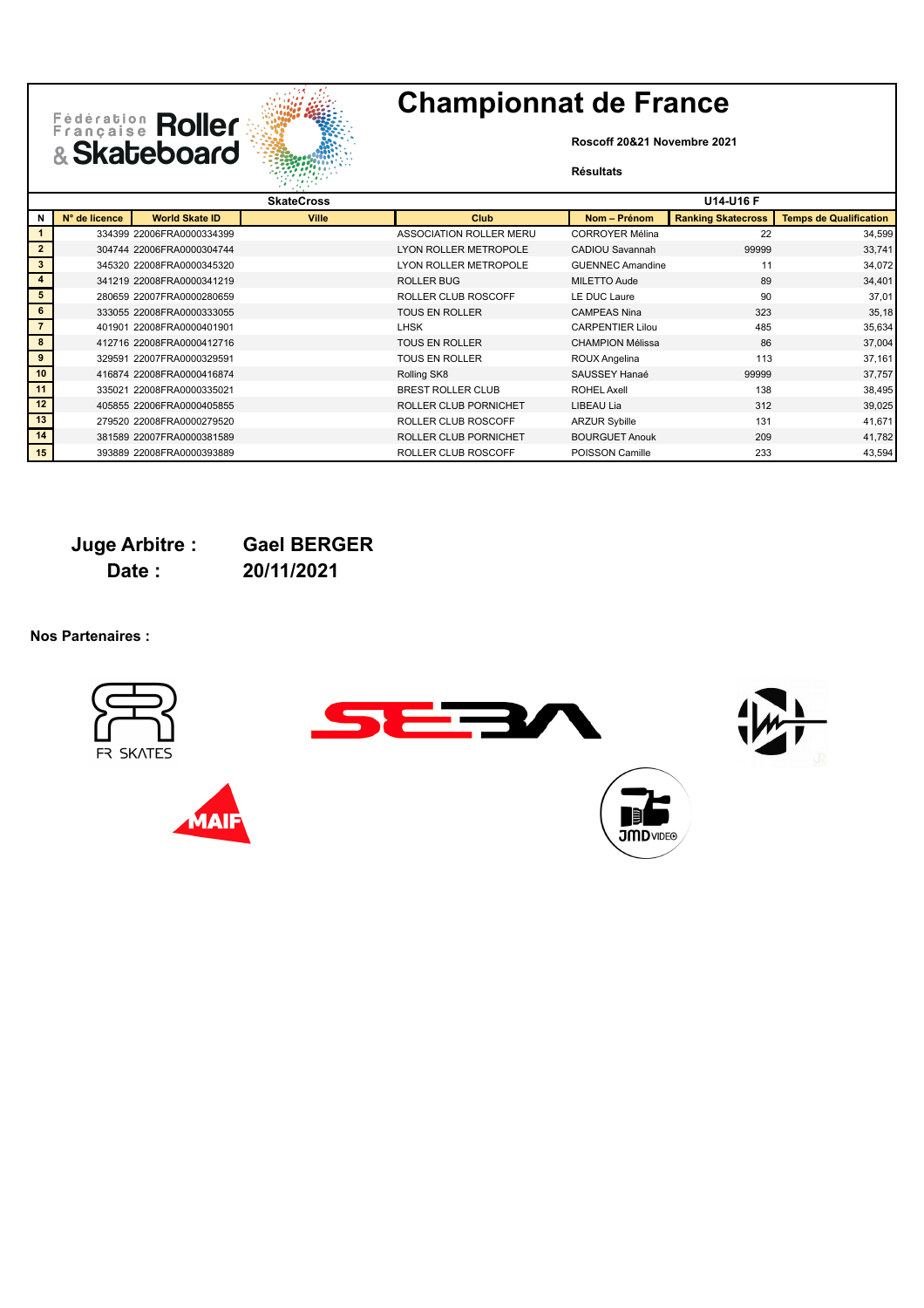



**Roscoff 20&21 Novembre 2021**

#### **Résultats**

|                |               |                           | and the control   |                          |                         |                           |                               |
|----------------|---------------|---------------------------|-------------------|--------------------------|-------------------------|---------------------------|-------------------------------|
|                |               |                           | <b>SkateCross</b> |                          |                         | <b>U14-U16 F</b>          |                               |
| N              | N° de licence | <b>World Skate ID</b>     | <b>Ville</b>      | <b>Club</b>              | Nom - Prénom            | <b>Ranking Skatecross</b> | <b>Temps de Qualification</b> |
|                |               | 334399 22006FRA0000334399 |                   | ASSOCIATION ROLLER MERU  | <b>CORROYER Mélina</b>  | 22                        | 34,599                        |
| $\overline{2}$ |               | 304744 22006FRA0000304744 |                   | LYON ROLLER METROPOLE    | <b>CADIOU Savannah</b>  | 99999                     | 33,741                        |
| 3              |               | 345320 22008FRA0000345320 |                   | LYON ROLLER METROPOLE    | <b>GUENNEC Amandine</b> | 11                        | 34,072                        |
| $\overline{4}$ |               | 341219 22008FRA0000341219 |                   | <b>ROLLER BUG</b>        | MILETTO Aude            | 89                        | 34,401                        |
| 5              |               | 280659 22007FRA0000280659 |                   | ROLLER CLUB ROSCOFF      | LE DUC Laure            | 90                        | 37,01                         |
| 6              |               | 333055 22008FRA0000333055 |                   | <b>TOUS EN ROLLER</b>    | <b>CAMPEAS Nina</b>     | 323                       | 35,18                         |
|                |               | 401901 22008FRA0000401901 |                   | <b>LHSK</b>              | <b>CARPENTIER Lilou</b> | 485                       | 35,634                        |
| 8              |               | 412716 22008FRA0000412716 |                   | <b>TOUS EN ROLLER</b>    | <b>CHAMPION Mélissa</b> | 86                        | 37,004                        |
| 9              |               | 329591 22007FRA0000329591 |                   | <b>TOUS EN ROLLER</b>    | ROUX Angelina           | 113                       | 37,161                        |
| 10             |               | 416874 22008FRA0000416874 |                   | Rolling SK8              | SAUSSEY Hanaé           | 99999                     | 37,757                        |
| 11             |               | 335021 22008FRA0000335021 |                   | <b>BREST ROLLER CLUB</b> | <b>ROHEL Axell</b>      | 138                       | 38,495                        |
| 12             |               | 405855 22006FRA0000405855 |                   | ROLLER CLUB PORNICHET    | LIBEAU Lia              | 312                       | 39,025                        |
| 13             |               | 279520 22008FRA0000279520 |                   | ROLLER CLUB ROSCOFF      | <b>ARZUR Sybille</b>    | 131                       | 41,671                        |
| 14             |               | 381589 22007FRA0000381589 |                   | ROLLER CLUB PORNICHET    | <b>BOURGUET Anouk</b>   | 209                       | 41,782                        |
| 15             |               | 393889 22008FRA0000393889 |                   | ROLLER CLUB ROSCOFF      | POISSON Camille         | 233                       | 43,594                        |

**Date : 20/11/2021**

**Juge Arbitre : Gael BERGER**

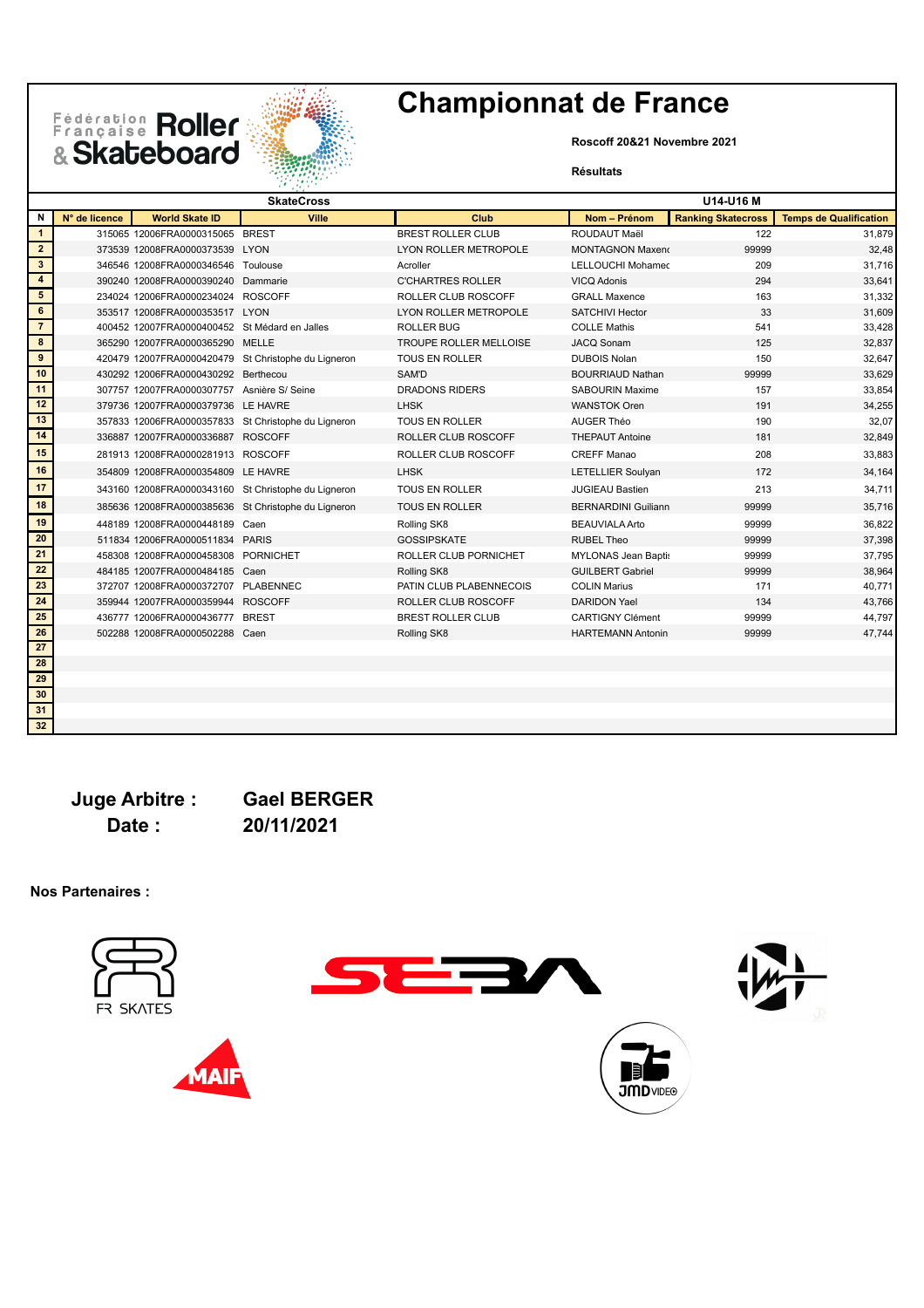**Roscoff 20&21 Novembre 2021**

#### **Résultats**

|                         |               |                                               | <b>SkateCross</b>                                   |                               |                            | U14-U16 M                 |                               |
|-------------------------|---------------|-----------------------------------------------|-----------------------------------------------------|-------------------------------|----------------------------|---------------------------|-------------------------------|
| N                       | N° de licence | <b>World Skate ID</b>                         | Ville                                               | Club                          | Nom - Prénom               | <b>Ranking Skatecross</b> | <b>Temps de Qualification</b> |
| $\mathbf{1}$            |               | 315065 12006FRA0000315065 BREST               |                                                     | <b>BREST ROLLER CLUB</b>      | ROUDAUT Maël               | 122                       | 31,879                        |
| $\overline{2}$          |               | 373539 12008FRA0000373539 LYON                |                                                     | LYON ROLLER METROPOLE         | <b>MONTAGNON Maxend</b>    | 99999                     | 32,48                         |
| $\mathbf{3}$            |               | 346546 12008FRA0000346546 Toulouse            |                                                     | Acroller                      | <b>LELLOUCHI Mohamed</b>   | 209                       | 31,716                        |
| $\overline{\mathbf{4}}$ |               | 390240 12008FRA0000390240 Dammarie            |                                                     | <b>C'CHARTRES ROLLER</b>      | VICQ Adonis                | 294                       | 33,641                        |
| 5                       |               | 234024 12006FRA0000234024 ROSCOFF             |                                                     | ROLLER CLUB ROSCOFF           | <b>GRALL Maxence</b>       | 163                       | 31,332                        |
| $6\phantom{.}6$         |               | 353517 12008FRA0000353517 LYON                |                                                     | LYON ROLLER METROPOLE         | <b>SATCHIVI Hector</b>     | 33                        | 31,609                        |
| $\overline{7}$          |               | 400452 12007FRA0000400452 St Médard en Jalles |                                                     | <b>ROLLER BUG</b>             | <b>COLLE Mathis</b>        | 541                       | 33,428                        |
| 8                       |               | 365290 12007FRA0000365290 MELLE               |                                                     | <b>TROUPE ROLLER MELLOISE</b> | <b>JACQ Sonam</b>          | 125                       | 32,837                        |
| $\overline{9}$          |               |                                               | 420479 12007FRA0000420479 St Christophe du Ligneron | TOUS EN ROLLER                | <b>DUBOIS Nolan</b>        | 150                       | 32,647                        |
| 10                      |               | 430292 12006FRA0000430292 Berthecou           |                                                     | SAM'D                         | <b>BOURRIAUD Nathan</b>    | 99999                     | 33,629                        |
| 11                      |               | 307757 12007FRA0000307757 Asnière S/ Seine    |                                                     | <b>DRADONS RIDERS</b>         | <b>SABOURIN Maxime</b>     | 157                       | 33,854                        |
| 12                      |               | 379736 12007FRA0000379736 LE HAVRE            |                                                     | <b>LHSK</b>                   | <b>WANSTOK Oren</b>        | 191                       | 34,255                        |
| 13                      |               |                                               | 357833 12006FRA0000357833 St Christophe du Ligneron | <b>TOUS EN ROLLER</b>         | AUGER Théo                 | 190                       | 32,07                         |
| 14                      |               | 336887 12007FRA0000336887 ROSCOFF             |                                                     | ROLLER CLUB ROSCOFF           | <b>THEPAUT Antoine</b>     | 181                       | 32,849                        |
| 15                      |               | 281913 12008FRA0000281913 ROSCOFF             |                                                     | ROLLER CLUB ROSCOFF           | <b>CREFF Manao</b>         | 208                       | 33,883                        |
| 16                      |               | 354809 12008FRA0000354809 LE HAVRE            |                                                     | <b>LHSK</b>                   | <b>LETELLIER Soulyan</b>   | 172                       | 34,164                        |
| 17                      |               |                                               | 343160 12008FRA0000343160 St Christophe du Ligneron | <b>TOUS EN ROLLER</b>         | <b>JUGIEAU Bastien</b>     | 213                       | 34,711                        |
| 18                      |               |                                               | 385636 12008FRA0000385636 St Christophe du Ligneron | <b>TOUS EN ROLLER</b>         | <b>BERNARDINI Guiliann</b> | 99999                     | 35,716                        |
| 19                      |               | 448189 12008FRA0000448189 Caen                |                                                     | Rolling SK8                   | <b>BEAUVIALA Arto</b>      | 99999                     | 36,822                        |
| 20                      |               | 511834 12006FRA0000511834 PARIS               |                                                     | <b>GOSSIPSKATE</b>            | <b>RUBEL Theo</b>          | 99999                     | 37,398                        |
| 21                      |               | 458308 12008FRA0000458308 PORNICHET           |                                                     | ROLLER CLUB PORNICHET         | <b>MYLONAS Jean Baptis</b> | 99999                     | 37,795                        |
| 22                      |               | 484185 12007FRA0000484185 Caen                |                                                     | Rolling SK8                   | <b>GUILBERT Gabriel</b>    | 99999                     | 38,964                        |
| 23                      |               | 372707 12008FRA0000372707 PLABENNEC           |                                                     | PATIN CLUB PLABENNECOIS       | <b>COLIN Marius</b>        | 171                       | 40,771                        |
| 24                      |               | 359944 12007FRA0000359944 ROSCOFF             |                                                     | ROLLER CLUB ROSCOFF           | <b>DARIDON Yael</b>        | 134                       | 43,766                        |
| 25                      |               | 436777 12006FRA0000436777 BREST               |                                                     | <b>BREST ROLLER CLUB</b>      | <b>CARTIGNY Clément</b>    | 99999                     | 44,797                        |
| 26                      |               | 502288 12008FRA0000502288 Caen                |                                                     | Rolling SK8                   | <b>HARTEMANN Antonin</b>   | 99999                     | 47,744                        |
| 27                      |               |                                               |                                                     |                               |                            |                           |                               |
| 28                      |               |                                               |                                                     |                               |                            |                           |                               |
| 29                      |               |                                               |                                                     |                               |                            |                           |                               |

**Juge Arbitre : Gael BERGER Date : 20/11/2021**

Fédération Roller

**Nos Partenaires :**

 









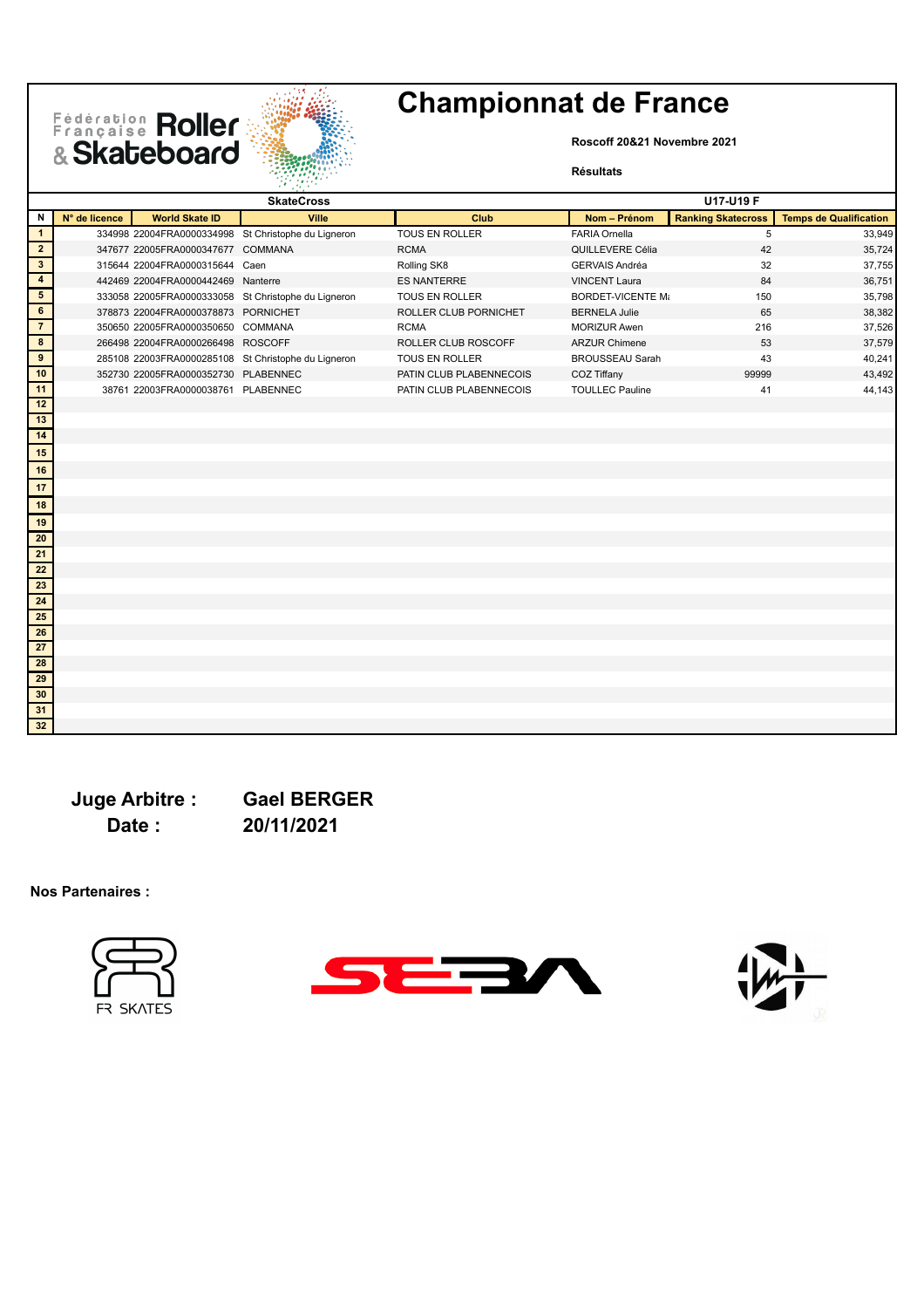## Fédération Roller



## **Championnat de France**

**Roscoff 20&21 Novembre 2021**

#### **Résultats**

|                         |               |                                     | <b>SkateCross</b>                                   |                         |                          | U17-U19 F                 |                               |
|-------------------------|---------------|-------------------------------------|-----------------------------------------------------|-------------------------|--------------------------|---------------------------|-------------------------------|
| N                       | N° de licence | <b>World Skate ID</b>               | Ville                                               | Club                    | Nom - Prénom             | <b>Ranking Skatecross</b> | <b>Temps de Qualification</b> |
| $\mathbf{1}$            |               |                                     | 334998 22004FRA0000334998 St Christophe du Ligneron | TOUS EN ROLLER          | <b>FARIA Ornella</b>     | 5                         | 33,949                        |
| $\overline{2}$          |               | 347677 22005FRA0000347677 COMMANA   |                                                     | <b>RCMA</b>             | QUILLEVERE Célia         | 42                        | 35,724                        |
| $\mathbf{3}$            |               | 315644 22004FRA0000315644 Caen      |                                                     | Rolling SK8             | <b>GERVAIS Andréa</b>    | 32                        | 37,755                        |
| $\overline{\mathbf{4}}$ |               | 442469 22004FRA0000442469 Nanterre  |                                                     | <b>ES NANTERRE</b>      | <b>VINCENT Laura</b>     | 84                        | 36,751                        |
| $5\phantom{1}$          |               |                                     | 333058 22005FRA0000333058 St Christophe du Ligneron | TOUS EN ROLLER          | <b>BORDET-VICENTE Mi</b> | 150                       | 35,798                        |
| 6                       |               | 378873 22004FRA0000378873 PORNICHET |                                                     | ROLLER CLUB PORNICHET   | <b>BERNELA Julie</b>     | 65                        | 38,382                        |
| $\overline{7}$          |               | 350650 22005FRA0000350650 COMMANA   |                                                     | <b>RCMA</b>             | <b>MORIZUR Awen</b>      | 216                       | 37,526                        |
| 8                       |               | 266498 22004FRA0000266498 ROSCOFF   |                                                     | ROLLER CLUB ROSCOFF     | <b>ARZUR Chimene</b>     | 53                        | 37,579                        |
| 9                       |               |                                     | 285108 22003FRA0000285108 St Christophe du Ligneron | TOUS EN ROLLER          | <b>BROUSSEAU Sarah</b>   | 43                        | 40,241                        |
| 10                      |               | 352730 22005FRA0000352730 PLABENNEC |                                                     | PATIN CLUB PLABENNECOIS | COZ Tiffany              | 99999                     | 43,492                        |
| 11                      |               | 38761 22003FRA0000038761 PLABENNEC  |                                                     | PATIN CLUB PLABENNECOIS | <b>TOULLEC Pauline</b>   | 41                        | 44,143                        |
| 12                      |               |                                     |                                                     |                         |                          |                           |                               |
| 13                      |               |                                     |                                                     |                         |                          |                           |                               |
| 14                      |               |                                     |                                                     |                         |                          |                           |                               |
| 15                      |               |                                     |                                                     |                         |                          |                           |                               |
| 16                      |               |                                     |                                                     |                         |                          |                           |                               |
| 17                      |               |                                     |                                                     |                         |                          |                           |                               |
| 18                      |               |                                     |                                                     |                         |                          |                           |                               |
| 19                      |               |                                     |                                                     |                         |                          |                           |                               |
| 20                      |               |                                     |                                                     |                         |                          |                           |                               |
| 21                      |               |                                     |                                                     |                         |                          |                           |                               |
| 22                      |               |                                     |                                                     |                         |                          |                           |                               |
| 23                      |               |                                     |                                                     |                         |                          |                           |                               |
| 24                      |               |                                     |                                                     |                         |                          |                           |                               |
| 25                      |               |                                     |                                                     |                         |                          |                           |                               |
| 26                      |               |                                     |                                                     |                         |                          |                           |                               |
| 27                      |               |                                     |                                                     |                         |                          |                           |                               |
| 28                      |               |                                     |                                                     |                         |                          |                           |                               |
| 29                      |               |                                     |                                                     |                         |                          |                           |                               |
| 30                      |               |                                     |                                                     |                         |                          |                           |                               |
| 31                      |               |                                     |                                                     |                         |                          |                           |                               |
| 32                      |               |                                     |                                                     |                         |                          |                           |                               |

**Date : 20/11/2021**

**Juge Arbitre : Gael BERGER**





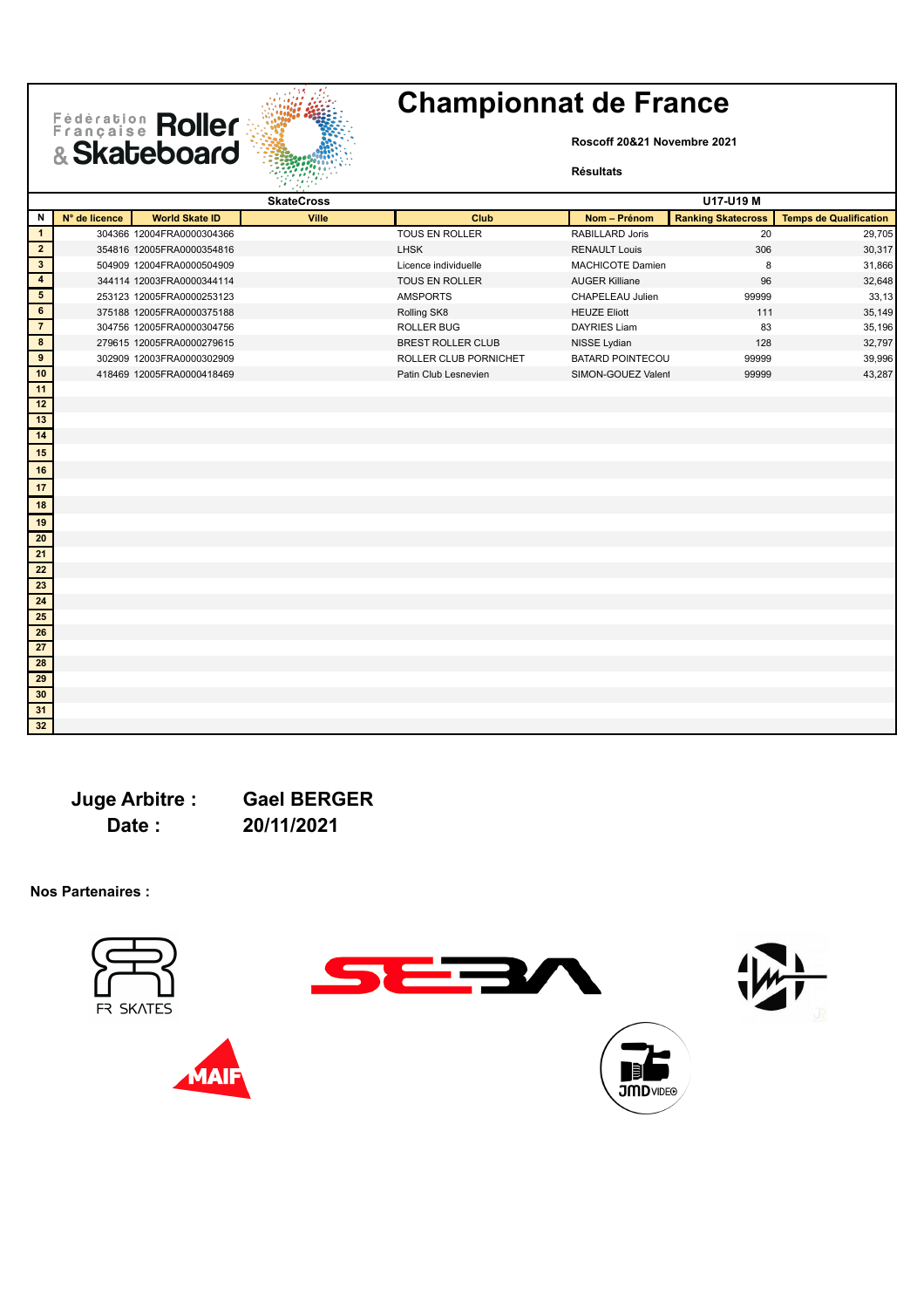# Fédération Roller



## **Championnat de France**

**Roscoff 20&21 Novembre 2021**

#### **Résultats**

|                         |               |                           | <b>SkateCross</b> |                          |                         | U17-U19 M                 |                               |
|-------------------------|---------------|---------------------------|-------------------|--------------------------|-------------------------|---------------------------|-------------------------------|
| N                       | N° de licence | <b>World Skate ID</b>     | Ville             | Club                     | Nom - Prénom            | <b>Ranking Skatecross</b> | <b>Temps de Qualification</b> |
| $\mathbf{1}$            |               | 304366 12004FRA0000304366 |                   | TOUS EN ROLLER           | RABILLARD Joris         | 20                        | 29,705                        |
| $\overline{2}$          |               | 354816 12005FRA0000354816 |                   | <b>LHSK</b>              | <b>RENAULT Louis</b>    | 306                       | 30,317                        |
| $\mathbf{3}$            |               | 504909 12004FRA0000504909 |                   | Licence individuelle     | MACHICOTE Damien        | 8                         | 31,866                        |
| $\overline{\mathbf{4}}$ |               | 344114 12003FRA0000344114 |                   | TOUS EN ROLLER           | <b>AUGER Killiane</b>   | 96                        | 32,648                        |
| $5\phantom{.0}$         |               | 253123 12005FRA0000253123 |                   | <b>AMSPORTS</b>          | CHAPELEAU Julien        | 99999                     | 33,13                         |
| 6                       |               | 375188 12005FRA0000375188 |                   | Rolling SK8              | <b>HEUZE Eliott</b>     | 111                       | 35,149                        |
| $\overline{7}$          |               | 304756 12005FRA0000304756 |                   | <b>ROLLER BUG</b>        | <b>DAYRIES Liam</b>     | 83                        | 35,196                        |
| 8                       |               | 279615 12005FRA0000279615 |                   | <b>BREST ROLLER CLUB</b> | NISSE Lydian            | 128                       | 32,797                        |
| 9                       |               | 302909 12003FRA0000302909 |                   | ROLLER CLUB PORNICHET    | <b>BATARD POINTECOU</b> | 99999                     | 39,996                        |
| 10                      |               | 418469 12005FRA0000418469 |                   | Patin Club Lesnevien     | SIMON-GOUEZ Valent      | 99999                     | 43,287                        |
| 11                      |               |                           |                   |                          |                         |                           |                               |
| 12                      |               |                           |                   |                          |                         |                           |                               |
| 13                      |               |                           |                   |                          |                         |                           |                               |
| 14                      |               |                           |                   |                          |                         |                           |                               |
| 15                      |               |                           |                   |                          |                         |                           |                               |
| 16                      |               |                           |                   |                          |                         |                           |                               |
| 17                      |               |                           |                   |                          |                         |                           |                               |
| 18                      |               |                           |                   |                          |                         |                           |                               |
| 19                      |               |                           |                   |                          |                         |                           |                               |
| 20                      |               |                           |                   |                          |                         |                           |                               |
| 21                      |               |                           |                   |                          |                         |                           |                               |
| 22                      |               |                           |                   |                          |                         |                           |                               |
| $\overline{23}$         |               |                           |                   |                          |                         |                           |                               |
| 24                      |               |                           |                   |                          |                         |                           |                               |
| 25                      |               |                           |                   |                          |                         |                           |                               |
| 26                      |               |                           |                   |                          |                         |                           |                               |
| ${\bf 27}$              |               |                           |                   |                          |                         |                           |                               |
| 28                      |               |                           |                   |                          |                         |                           |                               |
| 29                      |               |                           |                   |                          |                         |                           |                               |
| 30                      |               |                           |                   |                          |                         |                           |                               |
| 31                      |               |                           |                   |                          |                         |                           |                               |
| 32                      |               |                           |                   |                          |                         |                           |                               |

**Juge Arbitre : Gael BERGER Date : 20/11/2021**

**Nos Partenaires :**





IA





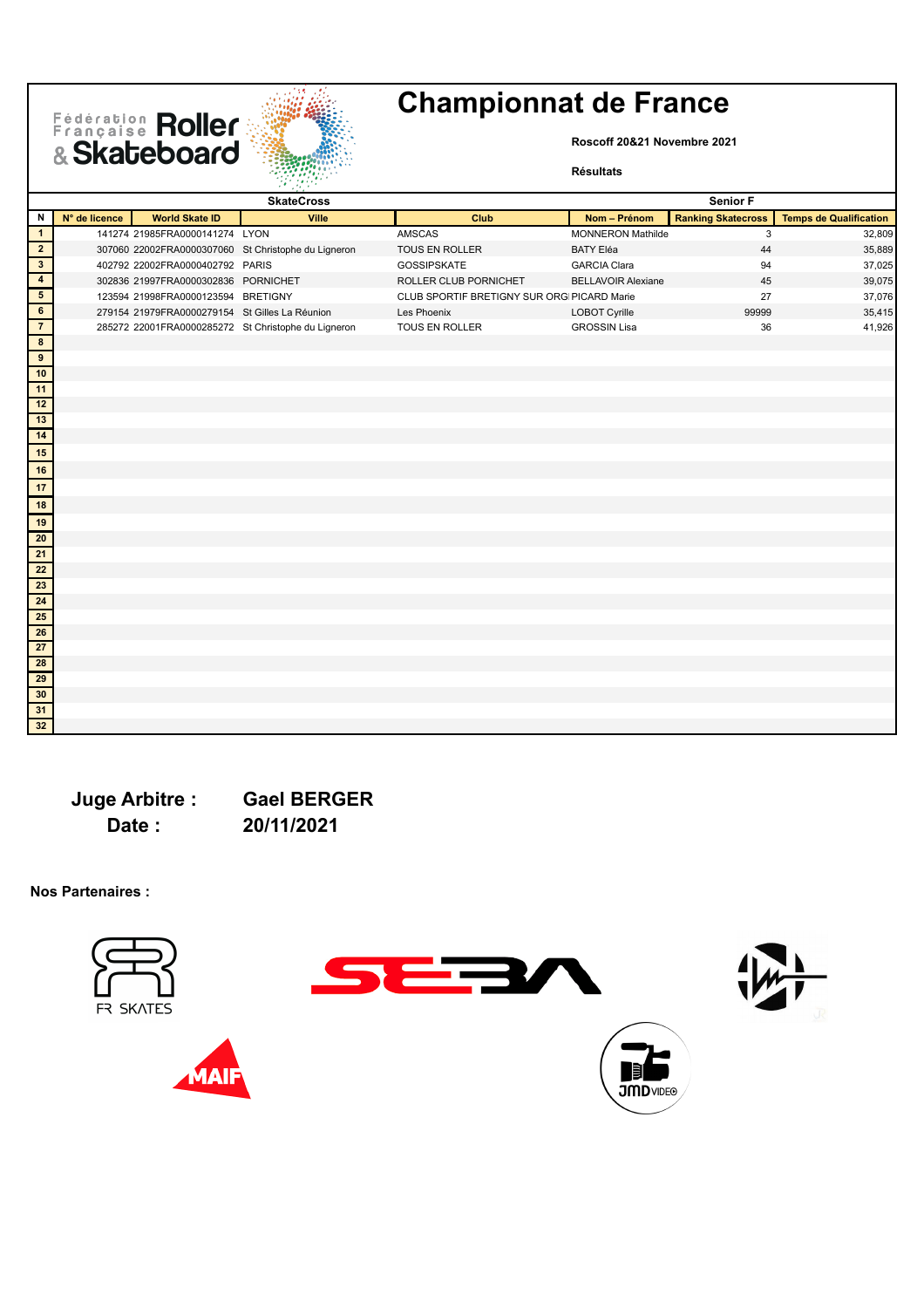

**Roscoff 20&21 Novembre 2021**

#### **Résultats**

|                          |               |                                                | <b>SkateCross</b>                                   |                                            |                           | Senior F                  |                               |
|--------------------------|---------------|------------------------------------------------|-----------------------------------------------------|--------------------------------------------|---------------------------|---------------------------|-------------------------------|
| N                        | N° de licence | <b>World Skate ID</b>                          | Ville                                               | Club                                       | Nom - Prénom              | <b>Ranking Skatecross</b> | <b>Temps de Qualification</b> |
| $\overline{1}$           |               | 141274 21985FRA0000141274 LYON                 |                                                     | <b>AMSCAS</b>                              | <b>MONNERON Mathilde</b>  | 3                         | 32,809                        |
| $\overline{2}$           |               |                                                | 307060 22002FRA0000307060 St Christophe du Ligneron | TOUS EN ROLLER                             | <b>BATY Eléa</b>          | 44                        | 35,889                        |
| $\overline{\mathbf{3}}$  |               | 402792 22002FRA0000402792 PARIS                |                                                     | GOSSIPSKATE                                | <b>GARCIA Clara</b>       | 94                        | 37,025                        |
| $\overline{4}$           |               | 302836 21997FRA0000302836 PORNICHET            |                                                     | ROLLER CLUB PORNICHET                      | <b>BELLAVOIR Alexiane</b> | 45                        | 39,075                        |
| $\overline{\phantom{0}}$ |               | 123594 21998FRA0000123594 BRETIGNY             |                                                     | CLUB SPORTIF BRETIGNY SUR ORGIPICARD Marie |                           | 27                        | 37,076                        |
| $6\overline{6}$          |               | 279154 21979FRA0000279154 St Gilles La Réunion |                                                     | Les Phoenix                                | <b>LOBOT Cyrille</b>      | 99999                     | 35,415                        |
| $\overline{7}$           |               |                                                | 285272 22001FRA0000285272 St Christophe du Ligneron | TOUS EN ROLLER                             | <b>GROSSIN Lisa</b>       | 36                        | 41,926                        |
| $\bf{8}$                 |               |                                                |                                                     |                                            |                           |                           |                               |
| $\overline{9}$           |               |                                                |                                                     |                                            |                           |                           |                               |
| $\overline{10}$          |               |                                                |                                                     |                                            |                           |                           |                               |
| 11                       |               |                                                |                                                     |                                            |                           |                           |                               |
| 12                       |               |                                                |                                                     |                                            |                           |                           |                               |
| $\overline{13}$          |               |                                                |                                                     |                                            |                           |                           |                               |
| $\overline{14}$          |               |                                                |                                                     |                                            |                           |                           |                               |
| 15                       |               |                                                |                                                     |                                            |                           |                           |                               |
| 16                       |               |                                                |                                                     |                                            |                           |                           |                               |
| 17                       |               |                                                |                                                     |                                            |                           |                           |                               |
| $\overline{\mathbf{18}}$ |               |                                                |                                                     |                                            |                           |                           |                               |
| 19                       |               |                                                |                                                     |                                            |                           |                           |                               |
| 20                       |               |                                                |                                                     |                                            |                           |                           |                               |
| $\overline{21}$          |               |                                                |                                                     |                                            |                           |                           |                               |
| $\overline{22}$          |               |                                                |                                                     |                                            |                           |                           |                               |
| $\overline{23}$          |               |                                                |                                                     |                                            |                           |                           |                               |
| $\overline{24}$          |               |                                                |                                                     |                                            |                           |                           |                               |
| 25                       |               |                                                |                                                     |                                            |                           |                           |                               |
| ${\bf 26}$               |               |                                                |                                                     |                                            |                           |                           |                               |
| $\overline{27}$          |               |                                                |                                                     |                                            |                           |                           |                               |
| $\overline{28}$          |               |                                                |                                                     |                                            |                           |                           |                               |
| 29                       |               |                                                |                                                     |                                            |                           |                           |                               |
| 30                       |               |                                                |                                                     |                                            |                           |                           |                               |
| 31                       |               |                                                |                                                     |                                            |                           |                           |                               |
| 32                       |               |                                                |                                                     |                                            |                           |                           |                               |

**Juge Arbitre : Gael BERGER Date : 20/11/2021**









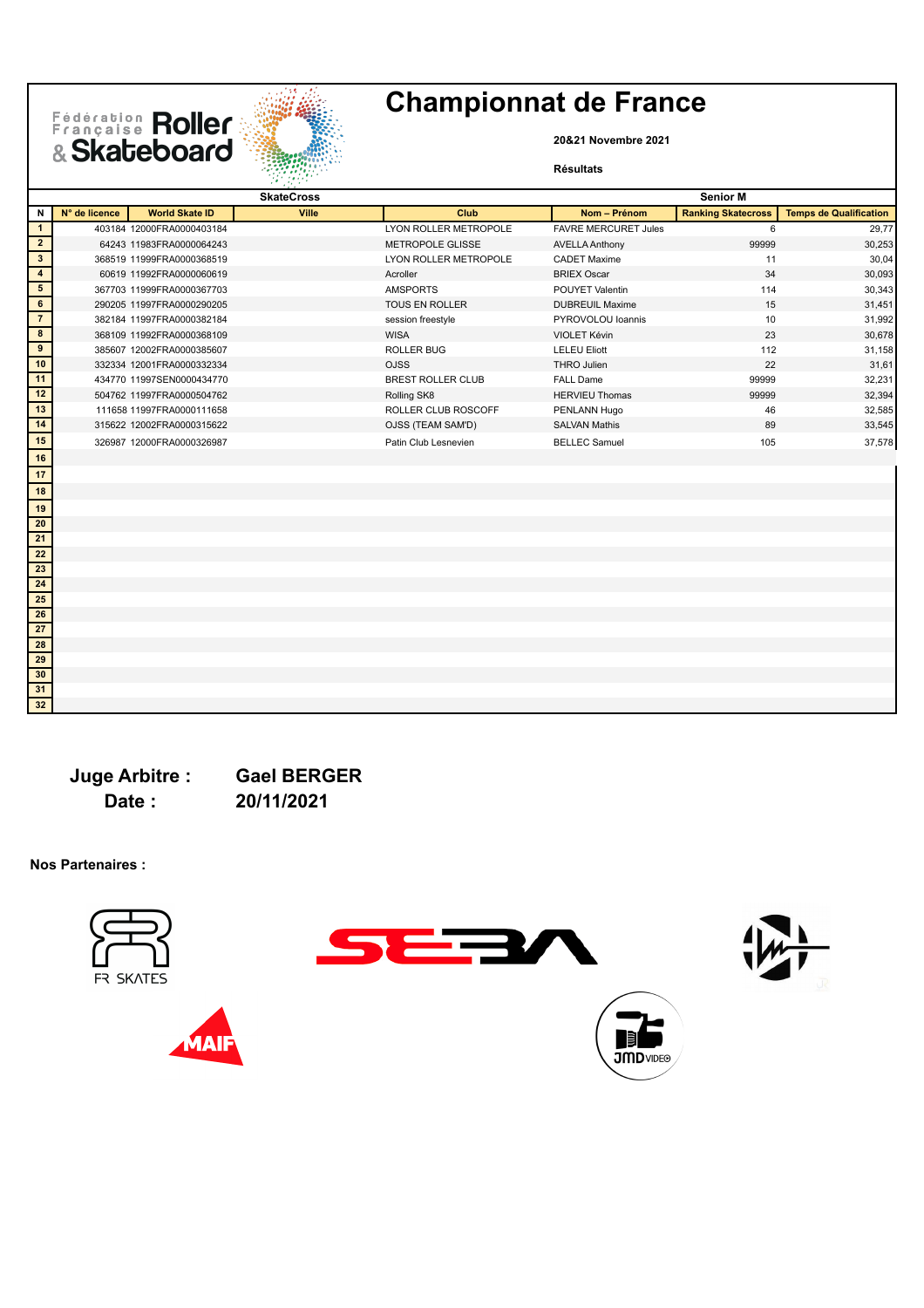



**20&21 Novembre 2021**

#### **Résultats**

|                         |               |                           | aki atas P        |                          |                             |                           |                               |
|-------------------------|---------------|---------------------------|-------------------|--------------------------|-----------------------------|---------------------------|-------------------------------|
|                         |               |                           | <b>SkateCross</b> |                          |                             | <b>Senior M</b>           |                               |
| N                       | N° de licence | <b>World Skate ID</b>     | <b>Ville</b>      | Club                     | Nom - Prénom                | <b>Ranking Skatecross</b> | <b>Temps de Qualification</b> |
| $\overline{1}$          |               | 403184 12000FRA0000403184 |                   | LYON ROLLER METROPOLE    | <b>FAVRE MERCURET Jules</b> | 6                         | 29,77                         |
| $\overline{2}$          |               | 64243 11983FRA0000064243  |                   | <b>METROPOLE GLISSE</b>  | <b>AVELLA Anthony</b>       | 99999                     | 30,253                        |
| $\overline{\mathbf{3}}$ |               | 368519 11999FRA0000368519 |                   | LYON ROLLER METROPOLE    | <b>CADET Maxime</b>         | 11                        | 30,04                         |
| $\overline{\mathbf{4}}$ |               | 60619 11992FRA0000060619  |                   | Acroller                 | <b>BRIEX Oscar</b>          | 34                        | 30,093                        |
| $5\overline{)}$         |               | 367703 11999FRA0000367703 |                   | <b>AMSPORTS</b>          | POUYET Valentin             | 114                       | 30,343                        |
| 6                       |               | 290205 11997FRA0000290205 |                   | <b>TOUS EN ROLLER</b>    | <b>DUBREUIL Maxime</b>      | 15                        | 31,451                        |
| $\overline{7}$          |               | 382184 11997FRA0000382184 |                   | session freestyle        | PYROVOLOU loannis           | 10                        | 31,992                        |
| $\overline{\mathbf{8}}$ |               | 368109 11992FRA0000368109 |                   | <b>WISA</b>              | VIOLET Kévin                | 23                        | 30,678                        |
| 9                       |               | 385607 12002FRA0000385607 |                   | <b>ROLLER BUG</b>        | <b>LELEU Eliott</b>         | 112                       | 31,158                        |
| 10                      |               | 332334 12001FRA0000332334 |                   | <b>OJSS</b>              | THRO Julien                 | 22                        | 31,61                         |
| 11                      |               | 434770 11997SEN0000434770 |                   | <b>BREST ROLLER CLUB</b> | <b>FALL Dame</b>            | 99999                     | 32,231                        |
| 12                      |               | 504762 11997FRA0000504762 |                   | Rolling SK8              | <b>HERVIEU Thomas</b>       | 99999                     | 32,394                        |
| 13                      |               | 111658 11997FRA0000111658 |                   | ROLLER CLUB ROSCOFF      | PENLANN Hugo                | 46                        | 32,585                        |
| 14                      |               | 315622 12002FRA0000315622 |                   | OJSS (TEAM SAM'D)        | <b>SALVAN Mathis</b>        | 89                        | 33,545                        |
| 15                      |               | 326987 12000FRA0000326987 |                   | Patin Club Lesnevien     | <b>BELLEC Samuel</b>        | 105                       | 37,578                        |
| $16$                    |               |                           |                   |                          |                             |                           |                               |
| 17                      |               |                           |                   |                          |                             |                           |                               |
| 18                      |               |                           |                   |                          |                             |                           |                               |
| 19                      |               |                           |                   |                          |                             |                           |                               |
| 20                      |               |                           |                   |                          |                             |                           |                               |
| 21                      |               |                           |                   |                          |                             |                           |                               |
| ${\bf 22}$              |               |                           |                   |                          |                             |                           |                               |
| 23                      |               |                           |                   |                          |                             |                           |                               |
| 24                      |               |                           |                   |                          |                             |                           |                               |
| 25                      |               |                           |                   |                          |                             |                           |                               |
| 26                      |               |                           |                   |                          |                             |                           |                               |
| $\overline{27}$         |               |                           |                   |                          |                             |                           |                               |
| 28                      |               |                           |                   |                          |                             |                           |                               |
| 29                      |               |                           |                   |                          |                             |                           |                               |
| 30                      |               |                           |                   |                          |                             |                           |                               |
| 31                      |               |                           |                   |                          |                             |                           |                               |

**Juge Arbitre : Gael BERGER Date : 20/11/2021**

**Nos Partenaires :**